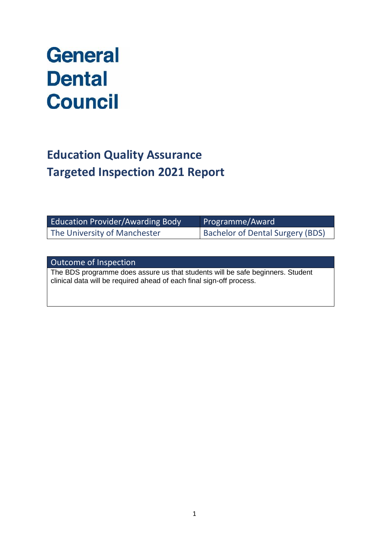# **General Dental Council**

## **Education Quality Assurance Targeted Inspection 2021 Report**

| <b>Education Provider/Awarding Body</b> | Programme/Award                         |
|-----------------------------------------|-----------------------------------------|
| The University of Manchester            | <b>Bachelor of Dental Surgery (BDS)</b> |

Outcome of Inspection

The BDS programme does assure us that students will be safe beginners. Student clinical data will be required ahead of each final sign-off process.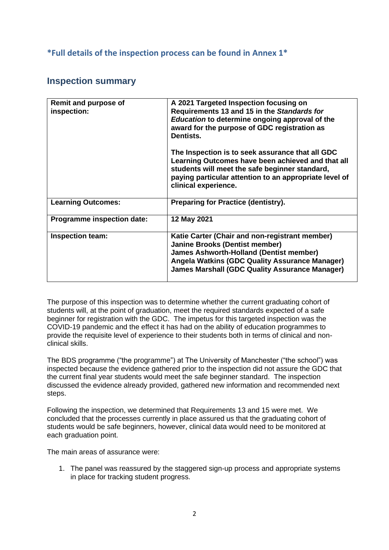### **\*Full details of the inspection process can be found in Annex 1\***

## **Inspection summary**

| Remit and purpose of<br>inspection: | A 2021 Targeted Inspection focusing on<br>Requirements 13 and 15 in the Standards for<br>Education to determine ongoing approval of the<br>award for the purpose of GDC registration as<br>Dentists.<br>The Inspection is to seek assurance that all GDC<br>Learning Outcomes have been achieved and that all<br>students will meet the safe beginner standard,<br>paying particular attention to an appropriate level of<br>clinical experience. |
|-------------------------------------|---------------------------------------------------------------------------------------------------------------------------------------------------------------------------------------------------------------------------------------------------------------------------------------------------------------------------------------------------------------------------------------------------------------------------------------------------|
| <b>Learning Outcomes:</b>           | <b>Preparing for Practice (dentistry).</b>                                                                                                                                                                                                                                                                                                                                                                                                        |
| Programme inspection date:          | 12 May 2021                                                                                                                                                                                                                                                                                                                                                                                                                                       |
| Inspection team:                    | Katie Carter (Chair and non-registrant member)<br><b>Janine Brooks (Dentist member)</b><br><b>James Ashworth-Holland (Dentist member)</b><br><b>Angela Watkins (GDC Quality Assurance Manager)</b><br><b>James Marshall (GDC Quality Assurance Manager)</b>                                                                                                                                                                                       |

The purpose of this inspection was to determine whether the current graduating cohort of students will, at the point of graduation, meet the required standards expected of a safe beginner for registration with the GDC. The impetus for this targeted inspection was the COVID-19 pandemic and the effect it has had on the ability of education programmes to provide the requisite level of experience to their students both in terms of clinical and nonclinical skills.

The BDS programme ("the programme") at The University of Manchester ("the school") was inspected because the evidence gathered prior to the inspection did not assure the GDC that the current final year students would meet the safe beginner standard. The inspection discussed the evidence already provided, gathered new information and recommended next steps.

Following the inspection, we determined that Requirements 13 and 15 were met. We concluded that the processes currently in place assured us that the graduating cohort of students would be safe beginners, however, clinical data would need to be monitored at each graduation point.

The main areas of assurance were:

1. The panel was reassured by the staggered sign-up process and appropriate systems in place for tracking student progress.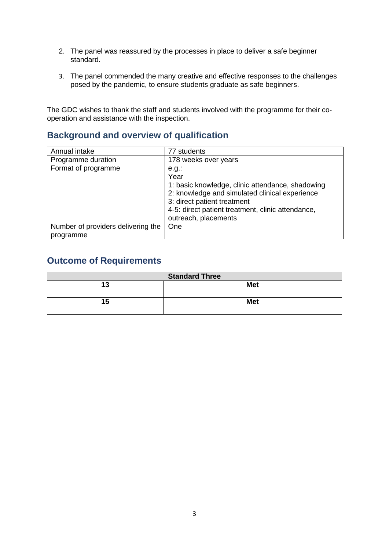- 2. The panel was reassured by the processes in place to deliver a safe beginner standard.
- 3. The panel commended the many creative and effective responses to the challenges posed by the pandemic, to ensure students graduate as safe beginners.

The GDC wishes to thank the staff and students involved with the programme for their cooperation and assistance with the inspection.

## **Background and overview of qualification**

| Annual intake                                   | 77 students                                                                                                                                                                                                                        |
|-------------------------------------------------|------------------------------------------------------------------------------------------------------------------------------------------------------------------------------------------------------------------------------------|
| Programme duration                              | 178 weeks over years                                                                                                                                                                                                               |
| Format of programme                             | $e.g.$ :<br>Year<br>1: basic knowledge, clinic attendance, shadowing<br>2: knowledge and simulated clinical experience<br>3: direct patient treatment<br>4-5: direct patient treatment, clinic attendance,<br>outreach, placements |
| Number of providers delivering the<br>programme | One                                                                                                                                                                                                                                |

## **Outcome of Requirements**

| <b>Standard Three</b> |            |  |
|-----------------------|------------|--|
| 13                    | <b>Met</b> |  |
| 15                    | <b>Met</b> |  |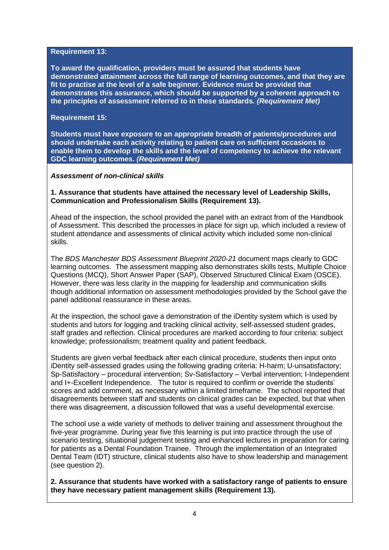#### **Requirement 13:**

**To award the qualification, providers must be assured that students have demonstrated attainment across the full range of learning outcomes, and that they are fit to practise at the level of a safe beginner. Evidence must be provided that demonstrates this assurance, which should be supported by a coherent approach to the principles of assessment referred to in these standards.** *(Requirement Met)*

#### **Requirement 15:**

**Students must have exposure to an appropriate breadth of patients/procedures and should undertake each activity relating to patient care on sufficient occasions to enable them to develop the skills and the level of competency to achieve the relevant GDC learning outcomes.** *(Requirement Met)*

#### *Assessment of non-clinical skills*

#### **1. Assurance that students have attained the necessary level of Leadership Skills, Communication and Professionalism Skills (Requirement 13).**

Ahead of the inspection, the school provided the panel with an extract from of the Handbook of Assessment. This described the processes in place for sign up, which included a review of student attendance and assessments of clinical activity which included some non-clinical skills.

The *BDS Manchester BDS Assessment Blueprint 2020-21* document maps clearly to GDC learning outcomes. The assessment mapping also demonstrates skills tests, Multiple Choice Questions (MCQ), Short Answer Paper (SAP), Observed Structured Clinical Exam (OSCE). However, there was less clarity in the mapping for leadership and communication skills though additional information on assessment methodologies provided by the School gave the panel additional reassurance in these areas.

At the inspection, the school gave a demonstration of the iDentity system which is used by students and tutors for logging and tracking clinical activity, self-assessed student grades, staff grades and reflection. Clinical procedures are marked according to four criteria: subject knowledge; professionalism; treatment quality and patient feedback.

Students are given verbal feedback after each clinical procedure, students then input onto iDentity self-assessed grades using the following grading criteria: H-harm; U-unsatisfactory; Sp-Satisfactory – procedural intervention; Sv-Satisfactory – Verbal intervention; I-Independent and I+-Excellent Independence. The tutor is required to confirm or override the students' scores and add comment, as necessary within a limited timeframe. The school reported that disagreements between staff and students on clinical grades can be expected, but that when there was disagreement, a discussion followed that was a useful developmental exercise.

The school use a wide variety of methods to deliver training and assessment throughout the five-year programme. During year five this learning is put into practice through the use of scenario testing, situational judgement testing and enhanced lectures in preparation for caring for patients as a Dental Foundation Trainee. Through the implementation of an Integrated Dental Team (IDT) structure, clinical students also have to show leadership and management (see question 2).

**2. Assurance that students have worked with a satisfactory range of patients to ensure they have necessary patient management skills (Requirement 13).**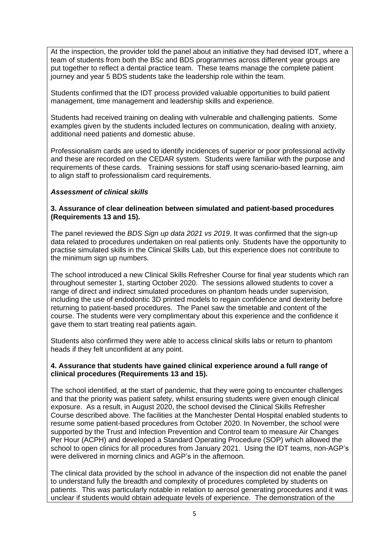At the inspection, the provider told the panel about an initiative they had devised IDT, where a team of students from both the BSc and BDS programmes across different year groups are put together to reflect a dental practice team. These teams manage the complete patient journey and year 5 BDS students take the leadership role within the team.

Students confirmed that the IDT process provided valuable opportunities to build patient management, time management and leadership skills and experience.

Students had received training on dealing with vulnerable and challenging patients. Some examples given by the students included lectures on communication, dealing with anxiety, additional need patients and domestic abuse.

Professionalism cards are used to identify incidences of superior or poor professional activity and these are recorded on the CEDAR system. Students were familiar with the purpose and requirements of these cards. Training sessions for staff using scenario-based learning, aim to align staff to professionalism card requirements.

#### *Assessment of clinical skills*

#### **3. Assurance of clear delineation between simulated and patient-based procedures (Requirements 13 and 15).**

The panel reviewed the *BDS Sign up data 2021 vs 2019*. It was confirmed that the sign-up data related to procedures undertaken on real patients only. Students have the opportunity to practise simulated skills in the Clinical Skills Lab, but this experience does not contribute to the minimum sign up numbers.

The school introduced a new Clinical Skills Refresher Course for final year students which ran throughout semester 1, starting October 2020. The sessions allowed students to cover a range of direct and indirect simulated procedures on phantom heads under supervision, including the use of endodontic 3D printed models to regain confidence and dexterity before returning to patient-based procedures. The Panel saw the timetable and content of the course. The students were very complimentary about this experience and the confidence it gave them to start treating real patients again.

Students also confirmed they were able to access clinical skills labs or return to phantom heads if they felt unconfident at any point.

#### **4. Assurance that students have gained clinical experience around a full range of clinical procedures (Requirements 13 and 15).**

The school identified, at the start of pandemic, that they were going to encounter challenges and that the priority was patient safety, whilst ensuring students were given enough clinical exposure. As a result, in August 2020, the school devised the Clinical Skills Refresher Course described above. The facilities at the Manchester Dental Hospital enabled students to resume some patient-based procedures from October 2020. In November, the school were supported by the Trust and Infection Prevention and Control team to measure Air Changes Per Hour (ACPH) and developed a Standard Operating Procedure (SOP) which allowed the school to open clinics for all procedures from January 2021. Using the IDT teams, non-AGP's were delivered in morning clinics and AGP's in the afternoon.

The clinical data provided by the school in advance of the inspection did not enable the panel to understand fully the breadth and complexity of procedures completed by students on patients. This was particularly notable in relation to aerosol generating procedures and it was unclear if students would obtain adequate levels of experience. The demonstration of the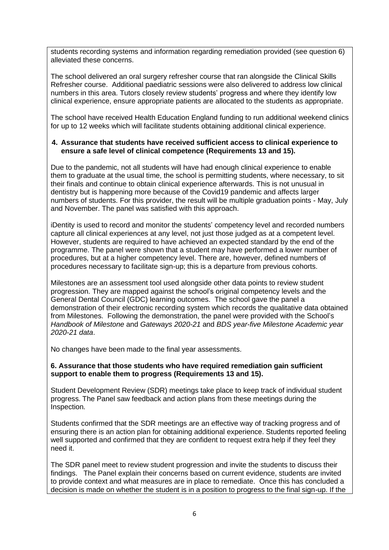students recording systems and information regarding remediation provided (see question 6) alleviated these concerns.

The school delivered an oral surgery refresher course that ran alongside the Clinical Skills Refresher course. Additional paediatric sessions were also delivered to address low clinical numbers in this area. Tutors closely review students' progress and where they identify low clinical experience, ensure appropriate patients are allocated to the students as appropriate.

The school have received Health Education England funding to run additional weekend clinics for up to 12 weeks which will facilitate students obtaining additional clinical experience.

#### **4. Assurance that students have received sufficient access to clinical experience to ensure a safe level of clinical competence (Requirements 13 and 15).**

Due to the pandemic, not all students will have had enough clinical experience to enable them to graduate at the usual time, the school is permitting students, where necessary, to sit their finals and continue to obtain clinical experience afterwards. This is not unusual in dentistry but is happening more because of the Covid19 pandemic and affects larger numbers of students. For this provider, the result will be multiple graduation points - May, July and November. The panel was satisfied with this approach.

iDentity is used to record and monitor the students' competency level and recorded numbers capture all clinical experiences at any level, not just those judged as at a competent level. However, students are required to have achieved an expected standard by the end of the programme. The panel were shown that a student may have performed a lower number of procedures, but at a higher competency level. There are, however, defined numbers of procedures necessary to facilitate sign-up; this is a departure from previous cohorts.

Milestones are an assessment tool used alongside other data points to review student progression. They are mapped against the school's original competency levels and the General Dental Council (GDC) learning outcomes. The school gave the panel a demonstration of their electronic recording system which records the qualitative data obtained from Milestones. Following the demonstration, the panel were provided with the School's *Handbook of Milestone* and *Gateways 2020-21* and *BDS year-five Milestone Academic year 2020-21 data*.

No changes have been made to the final year assessments.

#### **6. Assurance that those students who have required remediation gain sufficient support to enable them to progress (Requirements 13 and 15).**

Student Development Review (SDR) meetings take place to keep track of individual student progress. The Panel saw feedback and action plans from these meetings during the Inspection.

Students confirmed that the SDR meetings are an effective way of tracking progress and of ensuring there is an action plan for obtaining additional experience. Students reported feeling well supported and confirmed that they are confident to request extra help if they feel they need it.

The SDR panel meet to review student progression and invite the students to discuss their findings. The Panel explain their concerns based on current evidence, students are invited to provide context and what measures are in place to remediate. Once this has concluded a decision is made on whether the student is in a position to progress to the final sign-up. If the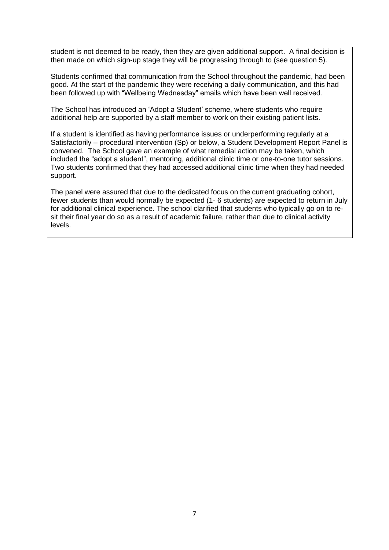student is not deemed to be ready, then they are given additional support. A final decision is then made on which sign-up stage they will be progressing through to (see question 5).

Students confirmed that communication from the School throughout the pandemic, had been good. At the start of the pandemic they were receiving a daily communication, and this had been followed up with "Wellbeing Wednesday" emails which have been well received.

The School has introduced an 'Adopt a Student' scheme, where students who require additional help are supported by a staff member to work on their existing patient lists.

If a student is identified as having performance issues or underperforming regularly at a Satisfactorily – procedural intervention (Sp) or below, a Student Development Report Panel is convened. The School gave an example of what remedial action may be taken, which included the "adopt a student", mentoring, additional clinic time or one-to-one tutor sessions. Two students confirmed that they had accessed additional clinic time when they had needed support.

The panel were assured that due to the dedicated focus on the current graduating cohort, fewer students than would normally be expected (1- 6 students) are expected to return in July for additional clinical experience. The school clarified that students who typically go on to resit their final year do so as a result of academic failure, rather than due to clinical activity levels.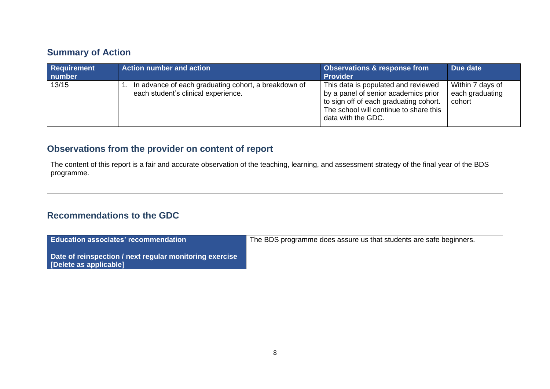## **Summary of Action**

| <b>Requirement</b><br>number | Action number and action                                                                    | <b>Observations &amp; response from</b><br><b>Provider</b>                                                                                                                            | Due date                                      |
|------------------------------|---------------------------------------------------------------------------------------------|---------------------------------------------------------------------------------------------------------------------------------------------------------------------------------------|-----------------------------------------------|
| 13/15                        | In advance of each graduating cohort, a breakdown of<br>each student's clinical experience. | This data is populated and reviewed<br>by a panel of senior academics prior<br>to sign off of each graduating cohort.<br>The school will continue to share this<br>data with the GDC. | Within 7 days of<br>each graduating<br>cohort |

## **Observations from the provider on content of report**

The content of this report is a fair and accurate observation of the teaching, learning, and assessment strategy of the final year of the BDS programme.

## **Recommendations to the GDC**

| Education associates' recommendation                                              | The BDS programme does assure us that students are safe beginners. |
|-----------------------------------------------------------------------------------|--------------------------------------------------------------------|
| Date of reinspection / next regular monitoring exercise<br>[Delete as applicable] |                                                                    |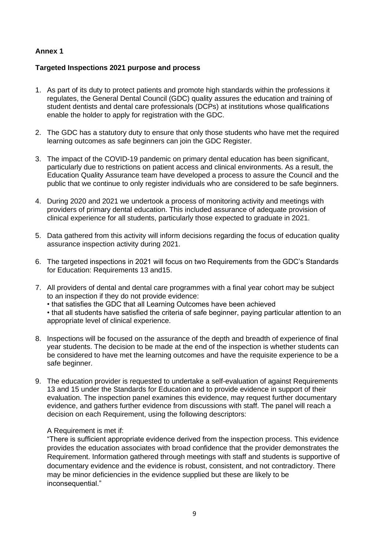#### **Annex 1**

#### **Targeted Inspections 2021 purpose and process**

- 1. As part of its duty to protect patients and promote high standards within the professions it regulates, the General Dental Council (GDC) quality assures the education and training of student dentists and dental care professionals (DCPs) at institutions whose qualifications enable the holder to apply for registration with the GDC.
- 2. The GDC has a statutory duty to ensure that only those students who have met the required learning outcomes as safe beginners can join the GDC Register.
- 3. The impact of the COVID-19 pandemic on primary dental education has been significant, particularly due to restrictions on patient access and clinical environments. As a result, the Education Quality Assurance team have developed a process to assure the Council and the public that we continue to only register individuals who are considered to be safe beginners.
- 4. During 2020 and 2021 we undertook a process of monitoring activity and meetings with providers of primary dental education. This included assurance of adequate provision of clinical experience for all students, particularly those expected to graduate in 2021.
- 5. Data gathered from this activity will inform decisions regarding the focus of education quality assurance inspection activity during 2021.
- 6. The targeted inspections in 2021 will focus on two Requirements from the GDC's Standards for Education: Requirements 13 and15.
- 7. All providers of dental and dental care programmes with a final year cohort may be subject to an inspection if they do not provide evidence: • that satisfies the GDC that all Learning Outcomes have been achieved • that all students have satisfied the criteria of safe beginner, paying particular attention to an appropriate level of clinical experience.
- 8. Inspections will be focused on the assurance of the depth and breadth of experience of final year students. The decision to be made at the end of the inspection is whether students can be considered to have met the learning outcomes and have the requisite experience to be a safe beginner.
- 9. The education provider is requested to undertake a self-evaluation of against Requirements 13 and 15 under the Standards for Education and to provide evidence in support of their evaluation. The inspection panel examines this evidence, may request further documentary evidence, and gathers further evidence from discussions with staff. The panel will reach a decision on each Requirement, using the following descriptors:

#### A Requirement is met if:

"There is sufficient appropriate evidence derived from the inspection process. This evidence provides the education associates with broad confidence that the provider demonstrates the Requirement. Information gathered through meetings with staff and students is supportive of documentary evidence and the evidence is robust, consistent, and not contradictory. There may be minor deficiencies in the evidence supplied but these are likely to be inconsequential."